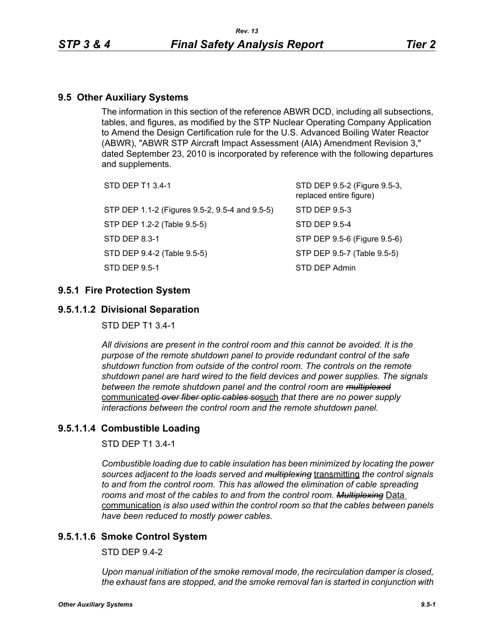# **9.5 Other Auxiliary Systems**

The information in this section of the reference ABWR DCD, including all subsections, tables, and figures, as modified by the STP Nuclear Operating Company Application to Amend the Design Certification rule for the U.S. Advanced Boiling Water Reactor (ABWR), "ABWR STP Aircraft Impact Assessment (AIA) Amendment Revision 3," dated September 23, 2010 is incorporated by reference with the following departures and supplements.

| STD DEP T1 3.4-1                               | STD DEP 9.5-2 (Figure 9.5-3,<br>replaced entire figure) |
|------------------------------------------------|---------------------------------------------------------|
| STP DEP 1.1-2 (Figures 9.5-2, 9.5-4 and 9.5-5) | STD DEP 9.5-3                                           |
| STP DEP 1.2-2 (Table 9.5-5)                    | STD DEP 9.5-4                                           |
| STD DEP 8.3-1                                  | STP DEP 9.5-6 (Figure 9.5-6)                            |
| STD DEP 9.4-2 (Table 9.5-5)                    | STP DEP 9.5-7 (Table 9.5-5)                             |
| STD DEP 9.5-1                                  | STD DEP Admin                                           |
|                                                |                                                         |

## **9.5.1 Fire Protection System**

### **9.5.1.1.2 Divisional Separation**

STD DEP T1 3.4-1

*All divisions are present in the control room and this cannot be avoided. It is the purpose of the remote shutdown panel to provide redundant control of the safe shutdown function from outside of the control room. The controls on the remote shutdown panel are hard wired to the field devices and power supplies. The signals between the remote shutdown panel and the control room are multiplexed* communicated *over fiber optic cables so*such *that there are no power supply interactions between the control room and the remote shutdown panel.*

## **9.5.1.1.4 Combustible Loading**

STD DEP T1 3.4-1

*Combustible loading due to cable insulation has been minimized by locating the power sources adjacent to the loads served and multiplexing* transmitting *the control signals to and from the control room. This has allowed the elimination of cable spreading rooms and most of the cables to and from the control room. Multiplexing* Data communication *is also used within the control room so that the cables between panels have been reduced to mostly power cables.*

# **9.5.1.1.6 Smoke Control System**

STD DEP 9.4-2

*Upon manual initiation of the smoke removal mode, the recirculation damper is closed, the exhaust fans are stopped, and the smoke removal fan is started in conjunction with*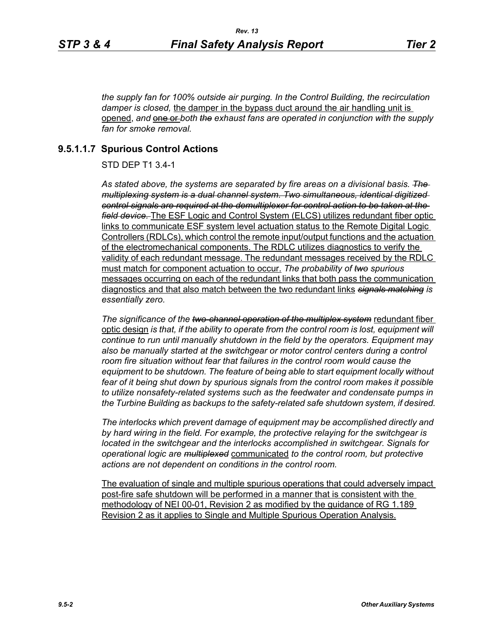*the supply fan for 100% outside air purging. In the Control Building, the recirculation damper is closed,* the damper in the bypass duct around the air handling unit is opened, *and* one or *both the exhaust fans are operated in conjunction with the supply fan for smoke removal.*

# **9.5.1.1.7 Spurious Control Actions**

STD DEP T1 3.4-1

*As stated above, the systems are separated by fire areas on a divisional basis. The multiplexing system is a dual channel system. Two simultaneous, identical digitized control signals are required at the demultiplexer for control action to be taken at the field device.* The ESF Logic and Control System (ELCS) utilizes redundant fiber optic links to communicate ESF system level actuation status to the Remote Digital Logic Controllers (RDLCs), which control the remote input/output functions and the actuation of the electromechanical components. The RDLC utilizes diagnostics to verify the validity of each redundant message. The redundant messages received by the RDLC must match for component actuation to occur. *The probability of two spurious* messages occurring on each of the redundant links that both pass the communication diagnostics and that also match between the two redundant links *signals matching is essentially zero.*

*The significance of the two-channel operation of the multiplex system* redundant fiber optic design *is that, if the ability to operate from the control room is lost, equipment will continue to run until manually shutdown in the field by the operators. Equipment may*  also be manually started at the switchgear or motor control centers during a control *room fire situation without fear that failures in the control room would cause the equipment to be shutdown. The feature of being able to start equipment locally without fear of it being shut down by spurious signals from the control room makes it possible to utilize nonsafety-related systems such as the feedwater and condensate pumps in the Turbine Building as backups to the safety-related safe shutdown system, if desired.*

*The interlocks which prevent damage of equipment may be accomplished directly and by hard wiring in the field. For example, the protective relaying for the switchgear is located in the switchgear and the interlocks accomplished in switchgear. Signals for operational logic are multiplexed* communicated *to the control room, but protective actions are not dependent on conditions in the control room.*

The evaluation of single and multiple spurious operations that could adversely impact post-fire safe shutdown will be performed in a manner that is consistent with the methodology of NEI 00-01, Revision 2 as modified by the guidance of RG 1.189 Revision 2 as it applies to Single and Multiple Spurious Operation Analysis.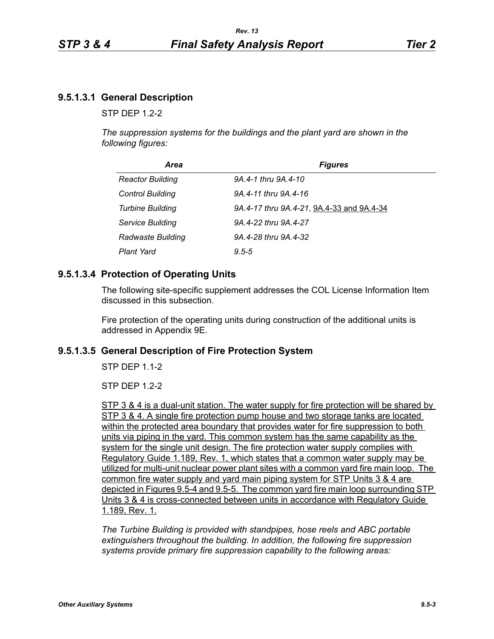## **9.5.1.3.1 General Description**

 $STP$  DFP 12-2

*The suppression systems for the buildings and the plant yard are shown in the following figures:*

| Area                     | <b>Figures</b>                            |
|--------------------------|-------------------------------------------|
| <b>Reactor Building</b>  | 9A.4-1 thru 9A.4-10                       |
| <b>Control Building</b>  | 9A.4-11 thru 9A.4-16                      |
| <b>Turbine Building</b>  | 9A.4-17 thru 9A.4-21, 9A.4-33 and 9A.4-34 |
| Service Building         | 9A.4-22 thru 9A.4-27                      |
| <b>Radwaste Building</b> | 9A.4-28 thru 9A.4-32                      |
| <b>Plant Yard</b>        | $9.5 - 5$                                 |

# **9.5.1.3.4 Protection of Operating Units**

The following site-specific supplement addresses the COL License Information Item discussed in this subsection.

Fire protection of the operating units during construction of the additional units is addressed in Appendix 9E.

## **9.5.1.3.5 General Description of Fire Protection System**

STP DEP 1.1-2

STP DEP 1.2-2

STP 3 & 4 is a dual-unit station. The water supply for fire protection will be shared by STP 3 & 4. A single fire protection pump house and two storage tanks are located within the protected area boundary that provides water for fire suppression to both units via piping in the yard. This common system has the same capability as the system for the single unit design. The fire protection water supply complies with Regulatory Guide 1.189, Rev. 1, which states that a common water supply may be utilized for multi-unit nuclear power plant sites with a common yard fire main loop. The common fire water supply and yard main piping system for STP Units 3 & 4 are depicted in Figures 9.5-4 and 9.5-5. The common yard fire main loop surrounding STP Units 3 & 4 is cross-connected between units in accordance with Regulatory Guide 1.189, Rev. 1.

*The Turbine Building is provided with standpipes, hose reels and ABC portable extinguishers throughout the building. In addition, the following fire suppression systems provide primary fire suppression capability to the following areas:*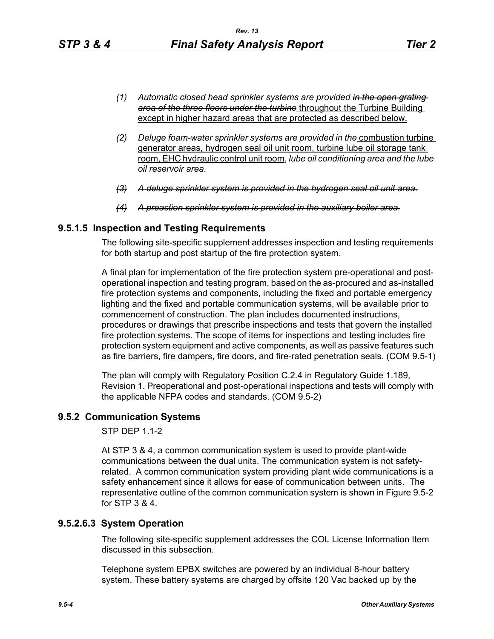- *(1) Automatic closed head sprinkler systems are provided in the open grating area of the three floors under the turbine* throughout the Turbine Building except in higher hazard areas that are protected as described below.
- *(2) Deluge foam-water sprinkler systems are provided in the* combustion turbine generator areas, hydrogen seal oil unit room, turbine lube oil storage tank room, EHC hydraulic control unit room, *lube oil conditioning area and the lube oil reservoir area.*
- *(3) A deluge sprinkler system is provided in the hydrogen seal oil unit area.*
- *(4) A preaction sprinkler system is provided in the auxiliary boiler area.*

# **9.5.1.5 Inspection and Testing Requirements**

The following site-specific supplement addresses inspection and testing requirements for both startup and post startup of the fire protection system.

A final plan for implementation of the fire protection system pre-operational and postoperational inspection and testing program, based on the as-procured and as-installed fire protection systems and components, including the fixed and portable emergency lighting and the fixed and portable communication systems, will be available prior to commencement of construction. The plan includes documented instructions, procedures or drawings that prescribe inspections and tests that govern the installed fire protection systems. The scope of items for inspections and testing includes fire protection system equipment and active components, as well as passive features such as fire barriers, fire dampers, fire doors, and fire-rated penetration seals. (COM 9.5-1)

The plan will comply with Regulatory Position C.2.4 in Regulatory Guide 1.189, Revision 1. Preoperational and post-operational inspections and tests will comply with the applicable NFPA codes and standards. (COM 9.5-2)

# **9.5.2 Communication Systems**

STP DEP 1.1-2

At STP 3 & 4, a common communication system is used to provide plant-wide communications between the dual units. The communication system is not safetyrelated. A common communication system providing plant wide communications is a safety enhancement since it allows for ease of communication between units. The representative outline of the common communication system is shown in Figure 9.5-2 for STP 3 & 4.

# **9.5.2.6.3 System Operation**

The following site-specific supplement addresses the COL License Information Item discussed in this subsection.

Telephone system EPBX switches are powered by an individual 8-hour battery system. These battery systems are charged by offsite 120 Vac backed up by the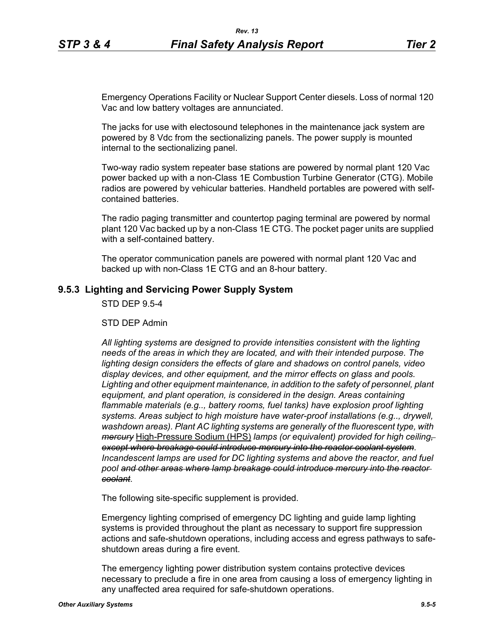Emergency Operations Facility or Nuclear Support Center diesels. Loss of normal 120 Vac and low battery voltages are annunciated.

The jacks for use with electosound telephones in the maintenance jack system are powered by 8 Vdc from the sectionalizing panels. The power supply is mounted internal to the sectionalizing panel.

Two-way radio system repeater base stations are powered by normal plant 120 Vac power backed up with a non-Class 1E Combustion Turbine Generator (CTG). Mobile radios are powered by vehicular batteries. Handheld portables are powered with selfcontained batteries.

The radio paging transmitter and countertop paging terminal are powered by normal plant 120 Vac backed up by a non-Class 1E CTG. The pocket pager units are supplied with a self-contained battery.

The operator communication panels are powered with normal plant 120 Vac and backed up with non-Class 1E CTG and an 8-hour battery.

## **9.5.3 Lighting and Servicing Power Supply System**

STD DEP 9.5-4

STD DEP Admin

*All lighting systems are designed to provide intensities consistent with the lighting needs of the areas in which they are located, and with their intended purpose. The lighting design considers the effects of glare and shadows on control panels, video display devices, and other equipment, and the mirror effects on glass and pools. Lighting and other equipment maintenance, in addition to the safety of personnel, plant equipment, and plant operation, is considered in the design. Areas containing flammable materials (e.g.., battery rooms, fuel tanks) have explosion proof lighting systems. Areas subject to high moisture have water-proof installations (e.g.., drywell, washdown areas). Plant AC lighting systems are generally of the fluorescent type, with mercury* High-Pressure Sodium (HPS) *lamps (or equivalent) provided for high ceiling, except where breakage could introduce mercury into the reactor coolant system*. *Incandescent lamps are used for DC lighting systems and above the reactor, and fuel pool and other areas where lamp breakage could introduce mercury into the reactor coolant*.

The following site-specific supplement is provided.

Emergency lighting comprised of emergency DC lighting and guide lamp lighting systems is provided throughout the plant as necessary to support fire suppression actions and safe-shutdown operations, including access and egress pathways to safeshutdown areas during a fire event.

The emergency lighting power distribution system contains protective devices necessary to preclude a fire in one area from causing a loss of emergency lighting in any unaffected area required for safe-shutdown operations.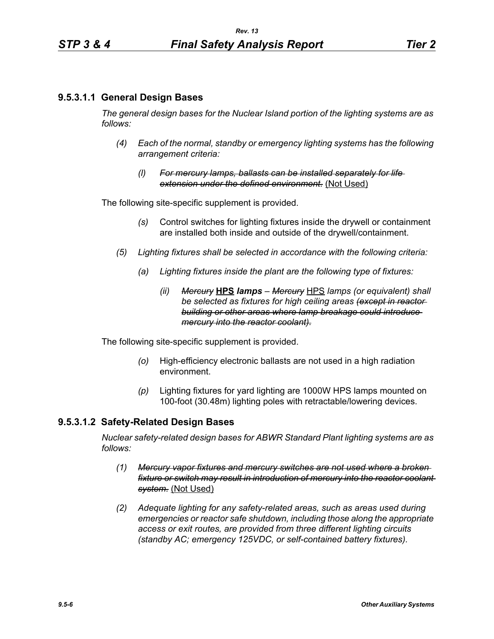# **9.5.3.1.1 General Design Bases**

*The general design bases for the Nuclear Island portion of the lighting systems are as follows:*

- *(4) Each of the normal, standby or emergency lighting systems has the following arrangement criteria:*
	- *(l) For mercury lamps, ballasts can be installed separately for life extension under the defined environment.* (Not Used)

The following site-specific supplement is provided.

- *(s)* Control switches for lighting fixtures inside the drywell or containment are installed both inside and outside of the drywell/containment.
- *(5) Lighting fixtures shall be selected in accordance with the following criteria:*
	- *(a) Lighting fixtures inside the plant are the following type of fixtures:*
		- *(ii) Mercury* **HPS** *lamps Mercury* HPS *lamps (or equivalent) shall be selected as fixtures for high ceiling areas (except in reactor building or other areas where lamp breakage could introduce mercury into the reactor coolant).*

The following site-specific supplement is provided.

- *(o)* High-efficiency electronic ballasts are not used in a high radiation environment.
- *(p)* Lighting fixtures for yard lighting are 1000W HPS lamps mounted on 100-foot (30.48m) lighting poles with retractable/lowering devices.

## **9.5.3.1.2 Safety-Related Design Bases**

*Nuclear safety-related design bases for ABWR Standard Plant lighting systems are as follows:*

- *(1) Mercury vapor fixtures and mercury switches are not used where a broken fixture or switch may result in introduction of mercury into the reactor coolant system.* (Not Used)
- *(2) Adequate lighting for any safety-related areas, such as areas used during emergencies or reactor safe shutdown, including those along the appropriate access or exit routes, are provided from three different lighting circuits (standby AC; emergency 125VDC, or self-contained battery fixtures).*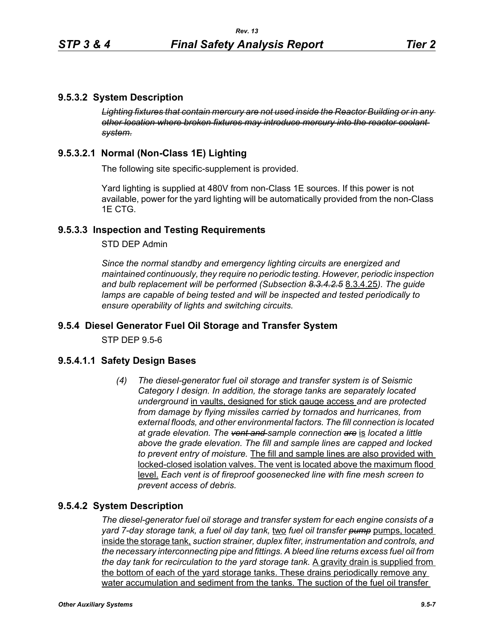## **9.5.3.2 System Description**

*Lighting fixtures that contain mercury are not used inside the Reactor Building or in any other location where broken fixtures may introduce mercury into the reactor coolant system.*

# **9.5.3.2.1 Normal (Non-Class 1E) Lighting**

The following site specific-supplement is provided.

Yard lighting is supplied at 480V from non-Class 1E sources. If this power is not available, power for the yard lighting will be automatically provided from the non-Class 1E CTG.

## **9.5.3.3 Inspection and Testing Requirements**

STD DEP Admin

*Since the normal standby and emergency lighting circuits are energized and maintained continuously, they require no periodic testing. However, periodic inspection and bulb replacement will be performed (Subsection 8.3.4.2.5* 8.3.4.25*). The guide*  lamps are capable of being tested and will be inspected and tested periodically to *ensure operability of lights and switching circuits.*

## **9.5.4 Diesel Generator Fuel Oil Storage and Transfer System**

STP DEP 9.5-6

## **9.5.4.1.1 Safety Design Bases**

*(4) The diesel-generator fuel oil storage and transfer system is of Seismic Category I design. In addition, the storage tanks are separately located underground* in vaults, designed for stick gauge access *and are protected from damage by flying missiles carried by tornados and hurricanes, from external floods, and other environmental factors. The fill connection is located at grade elevation. The vent and sample connection are* is *located a little above the grade elevation. The fill and sample lines are capped and locked to prevent entry of moisture.* The fill and sample lines are also provided with locked-closed isolation valves. The vent is located above the maximum flood level. *Each vent is of fireproof goosenecked line with fine mesh screen to prevent access of debris.*

## **9.5.4.2 System Description**

*The diesel-generator fuel oil storage and transfer system for each engine consists of a yard 7-day storage tank, a fuel oil day tank,* two *fuel oil transfer pump* pumps, located inside the storage tank, *suction strainer, duplex filter, instrumentation and controls, and the necessary interconnecting pipe and fittings. A bleed line returns excess fuel oil from the day tank for recirculation to the yard storage tank.* A gravity drain is supplied from the bottom of each of the yard storage tanks. These drains periodically remove any water accumulation and sediment from the tanks. The suction of the fuel oil transfer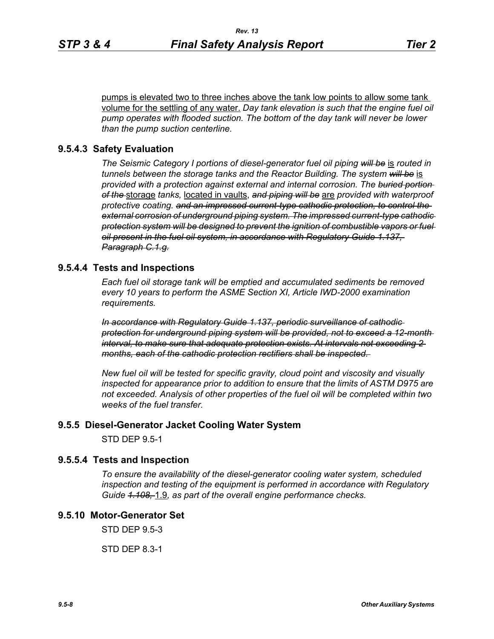pumps is elevated two to three inches above the tank low points to allow some tank volume for the settling of any water. *Day tank elevation is such that the engine fuel oil pump operates with flooded suction. The bottom of the day tank will never be lower than the pump suction centerline.*

# **9.5.4.3 Safety Evaluation**

*The Seismic Category I portions of diesel-generator fuel oil piping will be* is *routed in tunnels between the storage tanks and the Reactor Building. The system will be* is *provided with a protection against external and internal corrosion. The buried portion of the* storage *tanks,* located in vaults, *and piping will be* are *provided with waterproof protective coating. and an impressed current-type cathodic protection, to control the external corrosion of underground piping system. The impressed current-type cathodic protection system will be designed to prevent the ignition of combustible vapors or fuel oil present in the fuel oil system, in accordance with Regulatory Guide 1.137, Paragraph C.1.g.*

## **9.5.4.4 Tests and Inspections**

*Each fuel oil storage tank will be emptied and accumulated sediments be removed every 10 years to perform the ASME Section XI, Article IWD-2000 examination requirements.*

*In accordance with Regulatory Guide 1.137, periodic surveillance of cathodic protection for underground piping system will be provided, not to exceed a 12-month interval, to make sure that adequate protection exists. At intervals not exceeding 2 months, each of the cathodic protection rectifiers shall be inspected.* 

*New fuel oil will be tested for specific gravity, cloud point and viscosity and visually inspected for appearance prior to addition to ensure that the limits of ASTM D975 are not exceeded. Analysis of other properties of the fuel oil will be completed within two weeks of the fuel transfer.*

## **9.5.5 Diesel-Generator Jacket Cooling Water System**

STD DEP 9.5-1

# **9.5.5.4 Tests and Inspection**

*To ensure the availability of the diesel-generator cooling water system, scheduled inspection and testing of the equipment is performed in accordance with Regulatory Guide 1.108,* 1.9*, as part of the overall engine performance checks.*

# **9.5.10 Motor-Generator Set**

STD DEP 9.5-3

STD DEP 8.3-1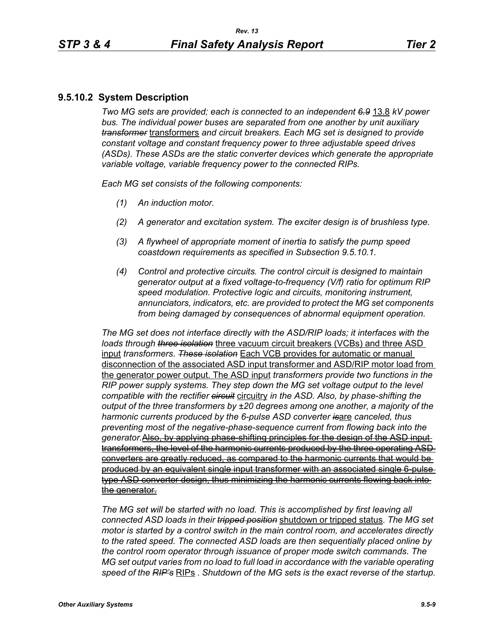# **9.5.10.2 System Description**

*Two MG sets are provided; each is connected to an independent 6.9* 13.8 *kV power bus. The individual power buses are separated from one another by unit auxiliary transformer* transformers *and circuit breakers. Each MG set is designed to provide constant voltage and constant frequency power to three adjustable speed drives (ASDs). These ASDs are the static converter devices which generate the appropriate variable voltage, variable frequency power to the connected RIPs.*

*Each MG set consists of the following components:*

- *(1) An induction motor.*
- *(2) A generator and excitation system. The exciter design is of brushless type.*
- *(3) A flywheel of appropriate moment of inertia to satisfy the pump speed coastdown requirements as specified in Subsection 9.5.10.1.*
- *(4) Control and protective circuits. The control circuit is designed to maintain generator output at a fixed voltage-to-frequency (V/f) ratio for optimum RIP speed modulation. Protective logic and circuits, monitoring instrument, annunciators, indicators, etc. are provided to protect the MG set components from being damaged by consequences of abnormal equipment operation.*

*The MG set does not interface directly with the ASD/RIP loads; it interfaces with the loads through three isolation* three vacuum circuit breakers (VCBs) and three ASD input *transformers*. *These isolation* Each VCB provides for automatic or manual disconnection of the associated ASD input transformer and ASD/RIP motor load from the generator power output. The ASD input *transformers provide two functions in the RIP power supply systems. They step down the MG set voltage output to the level compatible with the rectifier circuit* circuitry *in the ASD. Also, by phase-shifting the output of the three transformers by ±20 degrees among one another, a majority of the harmonic currents produced by the 6-pulse ASD converter is*are *canceled, thus preventing most of the negative-phase-sequence current from flowing back into the generator.*Also, by applying phase-shifting principles for the design of the ASD input transformers, the level of the harmonic currents produced by the three operating ASD converters are greatly reduced, as compared to the harmonic currents that would be produced by an equivalent single input transformer with an associated single 6-pulse type ASD converter design, thus minimizing the harmonic currents flowing back into the generator.

*The MG set will be started with no load. This is accomplished by first leaving all connected ASD loads in their tripped position* shutdown or tripped status. *The MG set motor is started by a control switch in the main control room, and accelerates directly to the rated speed. The connected ASD loads are then sequentially placed online by the control room operator through issuance of proper mode switch commands. The MG set output varies from no load to full load in accordance with the variable operating speed of the RIP's* RIPs . *Shutdown of the MG sets is the exact reverse of the startup.*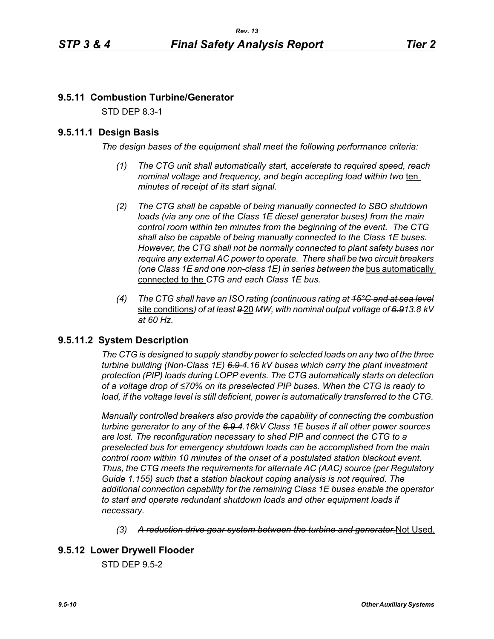# **9.5.11 Combustion Turbine/Generator**

STD DEP 8.3-1

# **9.5.11.1 Design Basis**

*The design bases of the equipment shall meet the following performance criteria:*

- *(1) The CTG unit shall automatically start, accelerate to required speed, reach nominal voltage and frequency, and begin accepting load within two-ten minutes of receipt of its start signal.*
- *(2) The CTG shall be capable of being manually connected to SBO shutdown loads (via any one of the Class 1E diesel generator buses) from the main control room within ten minutes from the beginning of the event. The CTG shall also be capable of being manually connected to the Class 1E buses. However, the CTG shall not be normally connected to plant safety buses nor require any external AC power to operate. There shall be two circuit breakers (one Class 1E and one non-class 1E) in series between the* bus automatically connected to the *CTG and each Class 1E bus.*
- *(4) The CTG shall have an ISO rating (continuous rating at 15°C and at sea level* site conditions*) of at least 9* 20 *MW, with nominal output voltage of 6.913.8 kV at 60 Hz.*

# **9.5.11.2 System Description**

*The CTG is designed to supply standby power to selected loads on any two of the three turbine building (Non-Class 1E) 6.9 4.16 kV buses which carry the plant investment protection (PIP) loads during LOPP events. The CTG automatically starts on detection of a voltage drop of ≤70% on its preselected PIP buses. When the CTG is ready to load, if the voltage level is still deficient, power is automatically transferred to the CTG.* 

*Manually controlled breakers also provide the capability of connecting the combustion turbine generator to any of the 6.9 4.16kV Class 1E buses if all other power sources are lost. The reconfiguration necessary to shed PIP and connect the CTG to a preselected bus for emergency shutdown loads can be accomplished from the main control room within 10 minutes of the onset of a postulated station blackout event. Thus, the CTG meets the requirements for alternate AC (AAC) source (per Regulatory Guide 1.155) such that a station blackout coping analysis is not required. The additional connection capability for the remaining Class 1E buses enable the operator to start and operate redundant shutdown loads and other equipment loads if necessary.*

*(3) A reduction drive gear system between the turbine and generator.*Not Used.

# **9.5.12 Lower Drywell Flooder**

STD DEP 9.5-2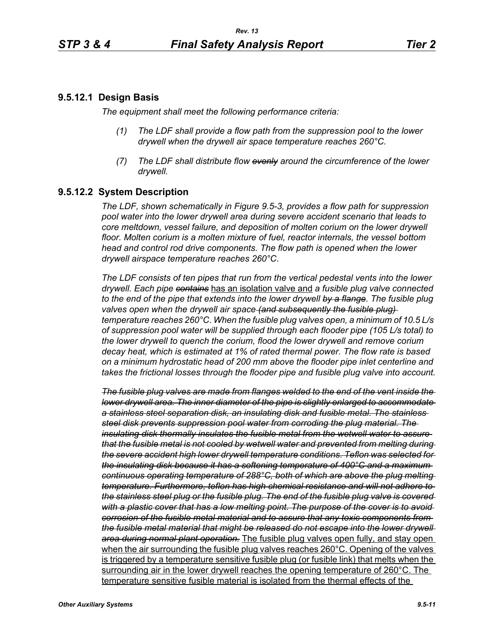# **9.5.12.1 Design Basis**

*The equipment shall meet the following performance criteria:*

- *(1) The LDF shall provide a flow path from the suppression pool to the lower drywell when the drywell air space temperature reaches 260°C.*
- *(7) The LDF shall distribute flow evenly around the circumference of the lower drywell.*

# **9.5.12.2 System Description**

*The LDF, shown schematically in Figure 9.5-3, provides a flow path for suppression pool water into the lower drywell area during severe accident scenario that leads to core meltdown, vessel failure, and deposition of molten corium on the lower drywell floor. Molten corium is a molten mixture of fuel, reactor internals, the vessel bottom head and control rod drive components. The flow path is opened when the lower drywell airspace temperature reaches 260°C*.

*The LDF consists of ten pipes that run from the vertical pedestal vents into the lower drywell. Each pipe contains* has an isolation valve and *a fusible plug valve connected to the end of the pipe that extends into the lower drywell by a flange. The fusible plug valves open when the drywell air space (and subsequently the fusible plug) temperature reaches 260°C*. *When the fusible plug valves open, a minimum of 10.5 L/s of suppression pool water will be supplied through each flooder pipe (105 L/s total) to the lower drywell to quench the corium, flood the lower drywell and remove corium decay heat, which is estimated at 1% of rated thermal power. The flow rate is based on a minimum hydrostatic head of 200 mm above the flooder pipe inlet centerline and takes the frictional losses through the flooder pipe and fusible plug valve into account.*

*The fusible plug valves are made from flanges welded to the end of the vent inside the lower drywell area. The inner diameter of the pipe is slightly enlarged to accommodate a stainless steel separation disk, an insulating disk and fusible metal. The stainless steel disk prevents suppression pool water from corroding the plug material. The insulating disk thermally insulates the fusible metal from the wetwell water to assure that the fusible metal is not cooled by wetwell water and prevented from melting during the severe accident high lower drywell temperature conditions. Teflon was selected for the insulating disk because it has a softening temperature of 400°C and a maximum continuous operating temperature of 288°C, both of which are above the plug melting temperature. Furthermore, teflon has high chemical resistance and will not adhere to the stainless steel plug or the fusible plug. The end of the fusible plug valve is covered with a plastic cover that has a low melting point. The purpose of the cover is to avoid corrosion of the fusible metal material and to assure that any toxic components from the fusible metal material that might be released do not escape into the lower drywell area during normal plant operation.* The fusible plug valves open fully, and stay open when the air surrounding the fusible plug valves reaches 260°C. Opening of the valves is triggered by a temperature sensitive fusible plug (or fusible link) that melts when the surrounding air in the lower drywell reaches the opening temperature of 260°C. The temperature sensitive fusible material is isolated from the thermal effects of the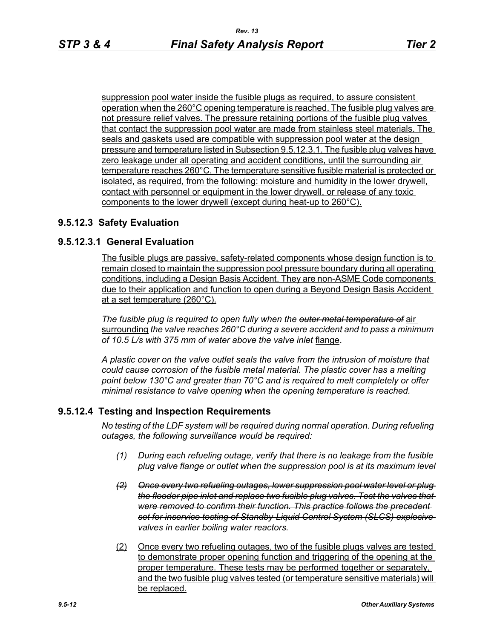suppression pool water inside the fusible plugs as required, to assure consistent operation when the 260°C opening temperature is reached. The fusible plug valves are not pressure relief valves. The pressure retaining portions of the fusible plug valves that contact the suppression pool water are made from stainless steel materials. The seals and gaskets used are compatible with suppression pool water at the design pressure and temperature listed in Subsection 9.5.12.3.1. The fusible plug valves have zero leakage under all operating and accident conditions, until the surrounding air temperature reaches 260°C. The temperature sensitive fusible material is protected or isolated, as required, from the following: moisture and humidity in the lower drywell, contact with personnel or equipment in the lower drywell, or release of any toxic components to the lower drywell (except during heat-up to 260°C).

# **9.5.12.3 Safety Evaluation**

## **9.5.12.3.1 General Evaluation**

The fusible plugs are passive, safety-related components whose design function is to remain closed to maintain the suppression pool pressure boundary during all operating conditions, including a Design Basis Accident. They are non-ASME Code components due to their application and function to open during a Beyond Design Basis Accident at a set temperature (260°C).

*The fusible plug is required to open fully when the outer metal temperature of* air surrounding *the valve reaches 260°C during a severe accident and to pass a minimum of 10.5 L/s with 375 mm of water above the valve inlet* flange.

*A plastic cover on the valve outlet seals the valve from the intrusion of moisture that could cause corrosion of the fusible metal material. The plastic cover has a melting point below 130°C and greater than 70°C and is required to melt completely or offer minimal resistance to valve opening when the opening temperature is reached.*

## **9.5.12.4 Testing and Inspection Requirements**

*No testing of the LDF system will be required during normal operation. During refueling outages, the following surveillance would be required:*

- *(1) During each refueling outage, verify that there is no leakage from the fusible plug valve flange or outlet when the suppression pool is at its maximum level*
- *(2) Once every two refueling outages, lower suppression pool water level or plug the flooder pipe inlet and replace two fusible plug valves. Test the valves that were removed to confirm their function. This practice follows the precedent set for inservice testing of Standby-Liquid Control System (SLCS) explosive valves in earlier boiling water reactors.*
- (2) Once every two refueling outages, two of the fusible plugs valves are tested to demonstrate proper opening function and triggering of the opening at the proper temperature. These tests may be performed together or separately, and the two fusible plug valves tested (or temperature sensitive materials) will be replaced.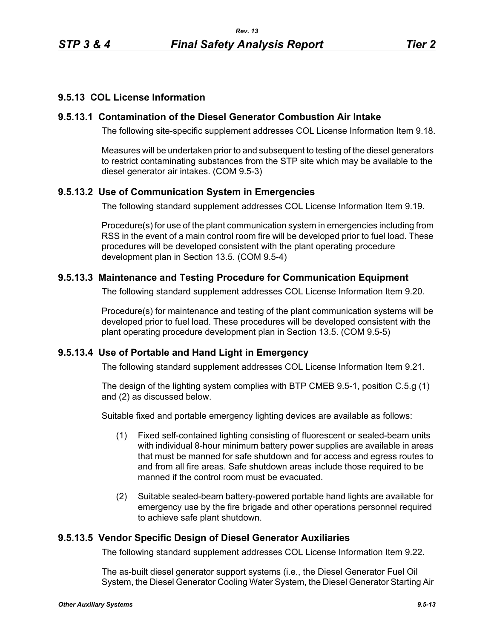# **9.5.13 COL License Information**

# **9.5.13.1 Contamination of the Diesel Generator Combustion Air Intake**

The following site-specific supplement addresses COL License Information Item 9.18.

Measures will be undertaken prior to and subsequent to testing of the diesel generators to restrict contaminating substances from the STP site which may be available to the diesel generator air intakes. (COM 9.5-3)

# **9.5.13.2 Use of Communication System in Emergencies**

The following standard supplement addresses COL License Information Item 9.19.

Procedure(s) for use of the plant communication system in emergencies including from RSS in the event of a main control room fire will be developed prior to fuel load. These procedures will be developed consistent with the plant operating procedure development plan in Section 13.5. (COM 9.5-4)

# **9.5.13.3 Maintenance and Testing Procedure for Communication Equipment**

The following standard supplement addresses COL License Information Item 9.20.

Procedure(s) for maintenance and testing of the plant communication systems will be developed prior to fuel load. These procedures will be developed consistent with the plant operating procedure development plan in Section 13.5. (COM 9.5-5)

## **9.5.13.4 Use of Portable and Hand Light in Emergency**

The following standard supplement addresses COL License Information Item 9.21.

The design of the lighting system complies with BTP CMEB 9.5-1, position C.5.g (1) and (2) as discussed below.

Suitable fixed and portable emergency lighting devices are available as follows:

- (1) Fixed self-contained lighting consisting of fluorescent or sealed-beam units with individual 8-hour minimum battery power supplies are available in areas that must be manned for safe shutdown and for access and egress routes to and from all fire areas. Safe shutdown areas include those required to be manned if the control room must be evacuated.
- (2) Suitable sealed-beam battery-powered portable hand lights are available for emergency use by the fire brigade and other operations personnel required to achieve safe plant shutdown.

## **9.5.13.5 Vendor Specific Design of Diesel Generator Auxiliaries**

The following standard supplement addresses COL License Information Item 9.22.

The as-built diesel generator support systems (i.e., the Diesel Generator Fuel Oil System, the Diesel Generator Cooling Water System, the Diesel Generator Starting Air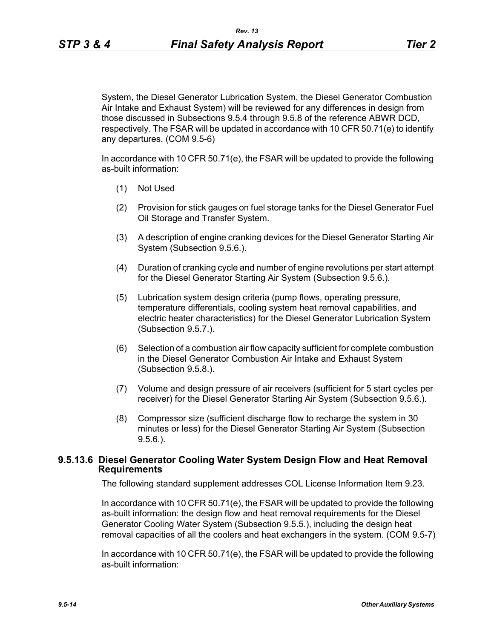System, the Diesel Generator Lubrication System, the Diesel Generator Combustion Air Intake and Exhaust System) will be reviewed for any differences in design from those discussed in Subsections 9.5.4 through 9.5.8 of the reference ABWR DCD, respectively. The FSAR will be updated in accordance with 10 CFR 50.71(e) to identify any departures. (COM 9.5-6)

In accordance with 10 CFR 50.71(e), the FSAR will be updated to provide the following as-built information:

- (1) Not Used
- (2) Provision for stick gauges on fuel storage tanks for the Diesel Generator Fuel Oil Storage and Transfer System.
- (3) A description of engine cranking devices for the Diesel Generator Starting Air System (Subsection 9.5.6.).
- (4) Duration of cranking cycle and number of engine revolutions per start attempt for the Diesel Generator Starting Air System (Subsection 9.5.6.).
- (5) Lubrication system design criteria (pump flows, operating pressure, temperature differentials, cooling system heat removal capabilities, and electric heater characteristics) for the Diesel Generator Lubrication System (Subsection 9.5.7.).
- (6) Selection of a combustion air flow capacity sufficient for complete combustion in the Diesel Generator Combustion Air Intake and Exhaust System (Subsection 9.5.8.).
- (7) Volume and design pressure of air receivers (sufficient for 5 start cycles per receiver) for the Diesel Generator Starting Air System (Subsection 9.5.6.).
- (8) Compressor size (sufficient discharge flow to recharge the system in 30 minutes or less) for the Diesel Generator Starting Air System (Subsection 9.5.6.).

### **9.5.13.6 Diesel Generator Cooling Water System Design Flow and Heat Removal Requirements**

The following standard supplement addresses COL License Information Item 9.23.

In accordance with 10 CFR 50.71(e), the FSAR will be updated to provide the following as-built information: the design flow and heat removal requirements for the Diesel Generator Cooling Water System (Subsection 9.5.5.), including the design heat removal capacities of all the coolers and heat exchangers in the system. (COM 9.5-7)

In accordance with 10 CFR 50.71(e), the FSAR will be updated to provide the following as-built information: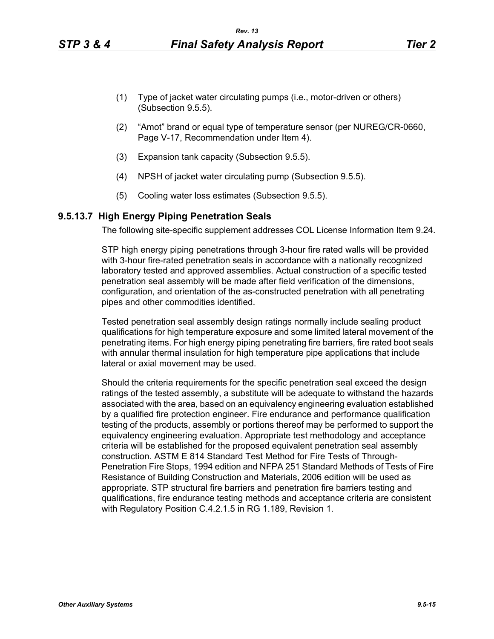- (2) "Amot" brand or equal type of temperature sensor (per NUREG/CR-0660, Page V-17, Recommendation under Item 4).
- (3) Expansion tank capacity (Subsection 9.5.5).
- (4) NPSH of jacket water circulating pump (Subsection 9.5.5).
- (5) Cooling water loss estimates (Subsection 9.5.5).

### **9.5.13.7 High Energy Piping Penetration Seals**

The following site-specific supplement addresses COL License Information Item 9.24.

STP high energy piping penetrations through 3-hour fire rated walls will be provided with 3-hour fire-rated penetration seals in accordance with a nationally recognized laboratory tested and approved assemblies. Actual construction of a specific tested penetration seal assembly will be made after field verification of the dimensions, configuration, and orientation of the as-constructed penetration with all penetrating pipes and other commodities identified.

Tested penetration seal assembly design ratings normally include sealing product qualifications for high temperature exposure and some limited lateral movement of the penetrating items. For high energy piping penetrating fire barriers, fire rated boot seals with annular thermal insulation for high temperature pipe applications that include lateral or axial movement may be used.

Should the criteria requirements for the specific penetration seal exceed the design ratings of the tested assembly, a substitute will be adequate to withstand the hazards associated with the area, based on an equivalency engineering evaluation established by a qualified fire protection engineer. Fire endurance and performance qualification testing of the products, assembly or portions thereof may be performed to support the equivalency engineering evaluation. Appropriate test methodology and acceptance criteria will be established for the proposed equivalent penetration seal assembly construction. ASTM E 814 Standard Test Method for Fire Tests of Through-Penetration Fire Stops, 1994 edition and NFPA 251 Standard Methods of Tests of Fire Resistance of Building Construction and Materials, 2006 edition will be used as appropriate. STP structural fire barriers and penetration fire barriers testing and qualifications, fire endurance testing methods and acceptance criteria are consistent with Regulatory Position C.4.2.1.5 in RG 1.189, Revision 1.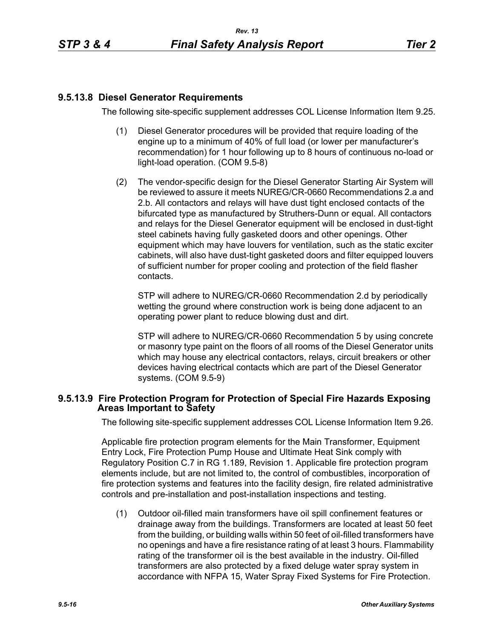# **9.5.13.8 Diesel Generator Requirements**

The following site-specific supplement addresses COL License Information Item 9.25.

- (1) Diesel Generator procedures will be provided that require loading of the engine up to a minimum of 40% of full load (or lower per manufacturer's recommendation) for 1 hour following up to 8 hours of continuous no-load or light-load operation. (COM 9.5-8)
- (2) The vendor-specific design for the Diesel Generator Starting Air System will be reviewed to assure it meets NUREG/CR-0660 Recommendations 2.a and 2.b. All contactors and relays will have dust tight enclosed contacts of the bifurcated type as manufactured by Struthers-Dunn or equal. All contactors and relays for the Diesel Generator equipment will be enclosed in dust-tight steel cabinets having fully gasketed doors and other openings. Other equipment which may have louvers for ventilation, such as the static exciter cabinets, will also have dust-tight gasketed doors and filter equipped louvers of sufficient number for proper cooling and protection of the field flasher contacts.

STP will adhere to NUREG/CR-0660 Recommendation 2.d by periodically wetting the ground where construction work is being done adjacent to an operating power plant to reduce blowing dust and dirt.

STP will adhere to NUREG/CR-0660 Recommendation 5 by using concrete or masonry type paint on the floors of all rooms of the Diesel Generator units which may house any electrical contactors, relays, circuit breakers or other devices having electrical contacts which are part of the Diesel Generator systems. (COM 9.5-9)

## **9.5.13.9 Fire Protection Program for Protection of Special Fire Hazards Exposing Areas Important to Safety**

The following site-specific supplement addresses COL License Information Item 9.26.

Applicable fire protection program elements for the Main Transformer, Equipment Entry Lock, Fire Protection Pump House and Ultimate Heat Sink comply with Regulatory Position C.7 in RG 1.189, Revision 1. Applicable fire protection program elements include, but are not limited to, the control of combustibles, incorporation of fire protection systems and features into the facility design, fire related administrative controls and pre-installation and post-installation inspections and testing.

(1) Outdoor oil-filled main transformers have oil spill confinement features or drainage away from the buildings. Transformers are located at least 50 feet from the building, or building walls within 50 feet of oil-filled transformers have no openings and have a fire resistance rating of at least 3 hours. Flammability rating of the transformer oil is the best available in the industry. Oil-filled transformers are also protected by a fixed deluge water spray system in accordance with NFPA 15, Water Spray Fixed Systems for Fire Protection.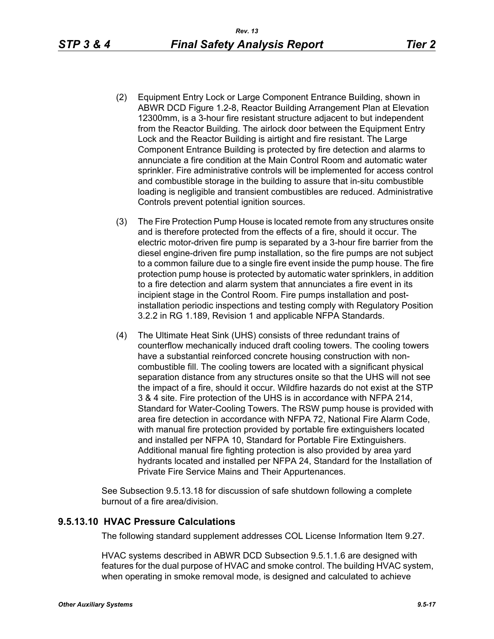- (2) Equipment Entry Lock or Large Component Entrance Building, shown in ABWR DCD Figure 1.2-8, Reactor Building Arrangement Plan at Elevation 12300mm, is a 3-hour fire resistant structure adjacent to but independent from the Reactor Building. The airlock door between the Equipment Entry Lock and the Reactor Building is airtight and fire resistant. The Large Component Entrance Building is protected by fire detection and alarms to annunciate a fire condition at the Main Control Room and automatic water sprinkler. Fire administrative controls will be implemented for access control and combustible storage in the building to assure that in-situ combustible loading is negligible and transient combustibles are reduced. Administrative Controls prevent potential ignition sources.
- (3) The Fire Protection Pump House is located remote from any structures onsite and is therefore protected from the effects of a fire, should it occur. The electric motor-driven fire pump is separated by a 3-hour fire barrier from the diesel engine-driven fire pump installation, so the fire pumps are not subject to a common failure due to a single fire event inside the pump house. The fire protection pump house is protected by automatic water sprinklers, in addition to a fire detection and alarm system that annunciates a fire event in its incipient stage in the Control Room. Fire pumps installation and postinstallation periodic inspections and testing comply with Regulatory Position 3.2.2 in RG 1.189, Revision 1 and applicable NFPA Standards.
- (4) The Ultimate Heat Sink (UHS) consists of three redundant trains of counterflow mechanically induced draft cooling towers. The cooling towers have a substantial reinforced concrete housing construction with noncombustible fill. The cooling towers are located with a significant physical separation distance from any structures onsite so that the UHS will not see the impact of a fire, should it occur. Wildfire hazards do not exist at the STP 3 & 4 site. Fire protection of the UHS is in accordance with NFPA 214, Standard for Water-Cooling Towers. The RSW pump house is provided with area fire detection in accordance with NFPA 72, National Fire Alarm Code, with manual fire protection provided by portable fire extinguishers located and installed per NFPA 10, Standard for Portable Fire Extinguishers. Additional manual fire fighting protection is also provided by area yard hydrants located and installed per NFPA 24, Standard for the Installation of Private Fire Service Mains and Their Appurtenances.

See Subsection 9.5.13.18 for discussion of safe shutdown following a complete burnout of a fire area/division.

### **9.5.13.10 HVAC Pressure Calculations**

The following standard supplement addresses COL License Information Item 9.27.

HVAC systems described in ABWR DCD Subsection 9.5.1.1.6 are designed with features for the dual purpose of HVAC and smoke control. The building HVAC system, when operating in smoke removal mode, is designed and calculated to achieve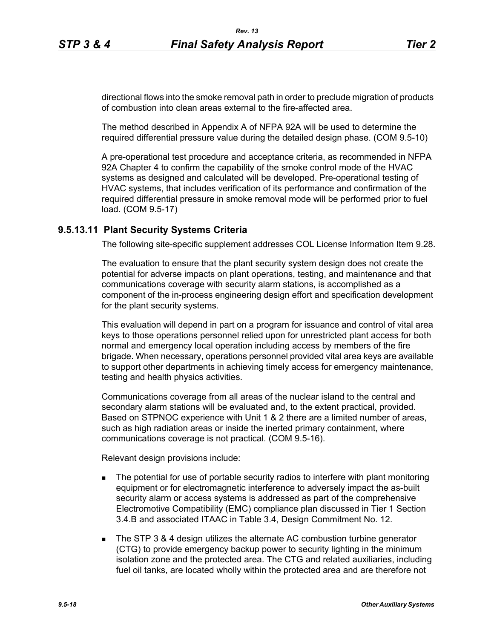directional flows into the smoke removal path in order to preclude migration of products of combustion into clean areas external to the fire-affected area.

The method described in Appendix A of NFPA 92A will be used to determine the required differential pressure value during the detailed design phase. (COM 9.5-10)

A pre-operational test procedure and acceptance criteria, as recommended in NFPA 92A Chapter 4 to confirm the capability of the smoke control mode of the HVAC systems as designed and calculated will be developed. Pre-operational testing of HVAC systems, that includes verification of its performance and confirmation of the required differential pressure in smoke removal mode will be performed prior to fuel load. (COM 9.5-17)

### **9.5.13.11 Plant Security Systems Criteria**

The following site-specific supplement addresses COL License Information Item 9.28.

The evaluation to ensure that the plant security system design does not create the potential for adverse impacts on plant operations, testing, and maintenance and that communications coverage with security alarm stations, is accomplished as a component of the in-process engineering design effort and specification development for the plant security systems.

This evaluation will depend in part on a program for issuance and control of vital area keys to those operations personnel relied upon for unrestricted plant access for both normal and emergency local operation including access by members of the fire brigade. When necessary, operations personnel provided vital area keys are available to support other departments in achieving timely access for emergency maintenance, testing and health physics activities.

Communications coverage from all areas of the nuclear island to the central and secondary alarm stations will be evaluated and, to the extent practical, provided. Based on STPNOC experience with Unit 1 & 2 there are a limited number of areas, such as high radiation areas or inside the inerted primary containment, where communications coverage is not practical. (COM 9.5-16).

Relevant design provisions include:

- **The potential for use of portable security radios to interfere with plant monitoring** equipment or for electromagnetic interference to adversely impact the as-built security alarm or access systems is addressed as part of the comprehensive Electromotive Compatibility (EMC) compliance plan discussed in Tier 1 Section 3.4.B and associated ITAAC in Table 3.4, Design Commitment No. 12.
- The STP 3 & 4 design utilizes the alternate AC combustion turbine generator (CTG) to provide emergency backup power to security lighting in the minimum isolation zone and the protected area. The CTG and related auxiliaries, including fuel oil tanks, are located wholly within the protected area and are therefore not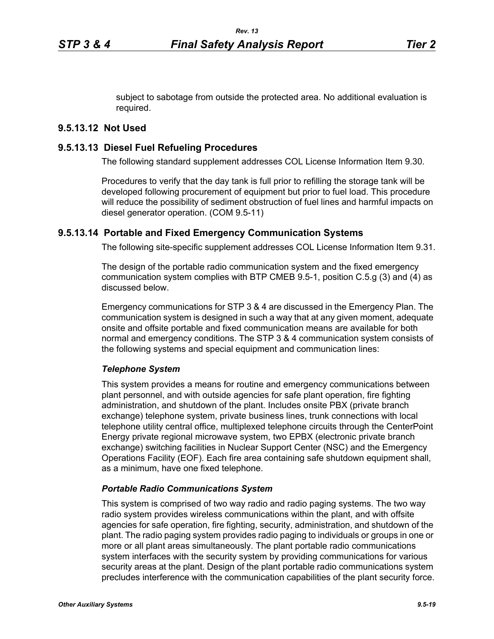subject to sabotage from outside the protected area. No additional evaluation is required.

### **9.5.13.12 Not Used**

### **9.5.13.13 Diesel Fuel Refueling Procedures**

The following standard supplement addresses COL License Information Item 9.30.

Procedures to verify that the day tank is full prior to refilling the storage tank will be developed following procurement of equipment but prior to fuel load. This procedure will reduce the possibility of sediment obstruction of fuel lines and harmful impacts on diesel generator operation. (COM 9.5-11)

### **9.5.13.14 Portable and Fixed Emergency Communication Systems**

The following site-specific supplement addresses COL License Information Item 9.31.

The design of the portable radio communication system and the fixed emergency communication system complies with BTP CMEB 9.5-1, position C.5.g (3) and (4) as discussed below.

Emergency communications for STP 3 & 4 are discussed in the Emergency Plan. The communication system is designed in such a way that at any given moment, adequate onsite and offsite portable and fixed communication means are available for both normal and emergency conditions. The STP 3 & 4 communication system consists of the following systems and special equipment and communication lines:

#### *Telephone System*

This system provides a means for routine and emergency communications between plant personnel, and with outside agencies for safe plant operation, fire fighting administration, and shutdown of the plant. Includes onsite PBX (private branch exchange) telephone system, private business lines, trunk connections with local telephone utility central office, multiplexed telephone circuits through the CenterPoint Energy private regional microwave system, two EPBX (electronic private branch exchange) switching facilities in Nuclear Support Center (NSC) and the Emergency Operations Facility (EOF). Each fire area containing safe shutdown equipment shall, as a minimum, have one fixed telephone.

#### *Portable Radio Communications System*

This system is comprised of two way radio and radio paging systems. The two way radio system provides wireless communications within the plant, and with offsite agencies for safe operation, fire fighting, security, administration, and shutdown of the plant. The radio paging system provides radio paging to individuals or groups in one or more or all plant areas simultaneously. The plant portable radio communications system interfaces with the security system by providing communications for various security areas at the plant. Design of the plant portable radio communications system precludes interference with the communication capabilities of the plant security force.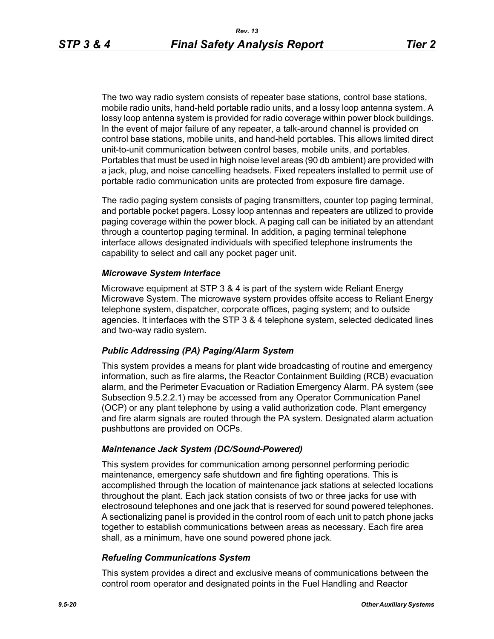The two way radio system consists of repeater base stations, control base stations, mobile radio units, hand-held portable radio units, and a lossy loop antenna system. A lossy loop antenna system is provided for radio coverage within power block buildings. In the event of major failure of any repeater, a talk-around channel is provided on control base stations, mobile units, and hand-held portables. This allows limited direct unit-to-unit communication between control bases, mobile units, and portables. Portables that must be used in high noise level areas (90 db ambient) are provided with a jack, plug, and noise cancelling headsets. Fixed repeaters installed to permit use of portable radio communication units are protected from exposure fire damage.

The radio paging system consists of paging transmitters, counter top paging terminal, and portable pocket pagers. Lossy loop antennas and repeaters are utilized to provide paging coverage within the power block. A paging call can be initiated by an attendant through a countertop paging terminal. In addition, a paging terminal telephone interface allows designated individuals with specified telephone instruments the capability to select and call any pocket pager unit.

### *Microwave System Interface*

Microwave equipment at STP 3 & 4 is part of the system wide Reliant Energy Microwave System. The microwave system provides offsite access to Reliant Energy telephone system, dispatcher, corporate offices, paging system; and to outside agencies. It interfaces with the STP 3 & 4 telephone system, selected dedicated lines and two-way radio system.

### *Public Addressing (PA) Paging/Alarm System*

This system provides a means for plant wide broadcasting of routine and emergency information, such as fire alarms, the Reactor Containment Building (RCB) evacuation alarm, and the Perimeter Evacuation or Radiation Emergency Alarm. PA system (see Subsection 9.5.2.2.1) may be accessed from any Operator Communication Panel (OCP) or any plant telephone by using a valid authorization code. Plant emergency and fire alarm signals are routed through the PA system. Designated alarm actuation pushbuttons are provided on OCPs.

## *Maintenance Jack System (DC/Sound-Powered)*

This system provides for communication among personnel performing periodic maintenance, emergency safe shutdown and fire fighting operations. This is accomplished through the location of maintenance jack stations at selected locations throughout the plant. Each jack station consists of two or three jacks for use with electrosound telephones and one jack that is reserved for sound powered telephones. A sectionalizing panel is provided in the control room of each unit to patch phone jacks together to establish communications between areas as necessary. Each fire area shall, as a minimum, have one sound powered phone jack.

### *Refueling Communications System*

This system provides a direct and exclusive means of communications between the control room operator and designated points in the Fuel Handling and Reactor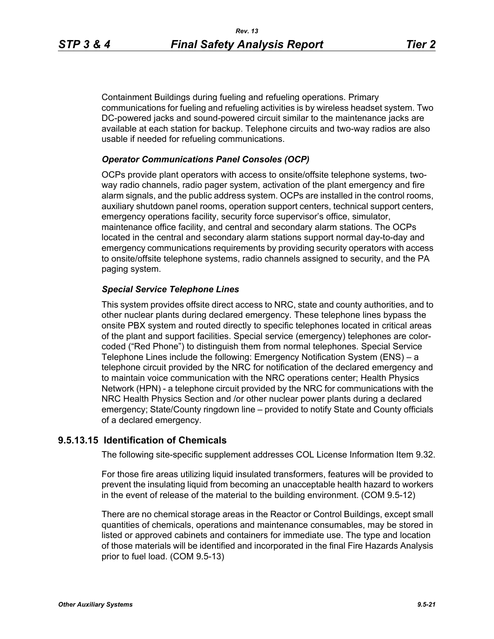Containment Buildings during fueling and refueling operations. Primary communications for fueling and refueling activities is by wireless headset system. Two DC-powered jacks and sound-powered circuit similar to the maintenance jacks are available at each station for backup. Telephone circuits and two-way radios are also usable if needed for refueling communications.

### *Operator Communications Panel Consoles (OCP)*

OCPs provide plant operators with access to onsite/offsite telephone systems, twoway radio channels, radio pager system, activation of the plant emergency and fire alarm signals, and the public address system. OCPs are installed in the control rooms, auxiliary shutdown panel rooms, operation support centers, technical support centers, emergency operations facility, security force supervisor's office, simulator, maintenance office facility, and central and secondary alarm stations. The OCPs located in the central and secondary alarm stations support normal day-to-day and emergency communications requirements by providing security operators with access to onsite/offsite telephone systems, radio channels assigned to security, and the PA paging system.

### *Special Service Telephone Lines*

This system provides offsite direct access to NRC, state and county authorities, and to other nuclear plants during declared emergency. These telephone lines bypass the onsite PBX system and routed directly to specific telephones located in critical areas of the plant and support facilities. Special service (emergency) telephones are colorcoded ("Red Phone") to distinguish them from normal telephones. Special Service Telephone Lines include the following: Emergency Notification System (ENS) – a telephone circuit provided by the NRC for notification of the declared emergency and to maintain voice communication with the NRC operations center; Health Physics Network (HPN) - a telephone circuit provided by the NRC for communications with the NRC Health Physics Section and /or other nuclear power plants during a declared emergency; State/County ringdown line – provided to notify State and County officials of a declared emergency.

## **9.5.13.15 Identification of Chemicals**

The following site-specific supplement addresses COL License Information Item 9.32.

For those fire areas utilizing liquid insulated transformers, features will be provided to prevent the insulating liquid from becoming an unacceptable health hazard to workers in the event of release of the material to the building environment. (COM 9.5-12)

There are no chemical storage areas in the Reactor or Control Buildings, except small quantities of chemicals, operations and maintenance consumables, may be stored in listed or approved cabinets and containers for immediate use. The type and location of those materials will be identified and incorporated in the final Fire Hazards Analysis prior to fuel load. (COM 9.5-13)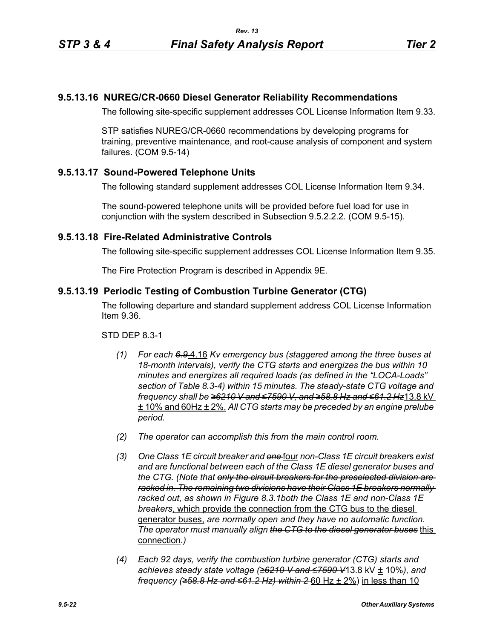# **9.5.13.16 NUREG/CR-0660 Diesel Generator Reliability Recommendations**

The following site-specific supplement addresses COL License Information Item 9.33.

STP satisfies NUREG/CR-0660 recommendations by developing programs for training, preventive maintenance, and root-cause analysis of component and system failures. (COM 9.5-14)

# **9.5.13.17 Sound-Powered Telephone Units**

The following standard supplement addresses COL License Information Item 9.34.

The sound-powered telephone units will be provided before fuel load for use in conjunction with the system described in Subsection 9.5.2.2.2. (COM 9.5-15).

## **9.5.13.18 Fire-Related Administrative Controls**

The following site-specific supplement addresses COL License Information Item 9.35.

The Fire Protection Program is described in Appendix 9E.

## **9.5.13.19 Periodic Testing of Combustion Turbine Generator (CTG)**

The following departure and standard supplement address COL License Information Item 9.36.

STD DEP 8.3-1

- *(1) For each 6.9* 4.16 *Kv emergency bus (staggered among the three buses at 18-month intervals), verify the CTG starts and energizes the bus within 10 minutes and energizes all required loads (as defined in the "LOCA-Loads" section of Table 8.3-4) within 15 minutes. The steady-state CTG voltage and frequency shall be ≥6210 V and ≤7590 V, and ≥58.8 Hz and ≤61.2 Hz*13.8 kV ± 10% and 60Hz ± 2%. *All CTG starts may be preceded by an engine prelube period.*
- *(2) The operator can accomplish this from the main control room.*
- *(3) One Class 1E circuit breaker and one* four *non-Class 1E circuit breaker*s *exist and are functional between each of the Class 1E diesel generator buses and the CTG. (Note that only the circuit breakers for the preselected division are racked in. The remaining two divisions have their Class 1E breakers normally racked out, as shown in Figure 8.3.1both the Class 1E and non-Class 1E breakers*, which provide the connection from the CTG bus to the diesel generator buses, *are normally open and they have no automatic function. The operator must manually align the CTG to the diesel generator buses* this connection*.)*
- *(4) Each 92 days, verify the combustion turbine generator (CTG) starts and achieves steady state voltage (≥6210 V and ≤7590 V*13.8 kV ± 10%*), and frequency (≥58.8 Hz and ≤61.2 Hz) within 2* 60 Hz ± 2%) in less than 10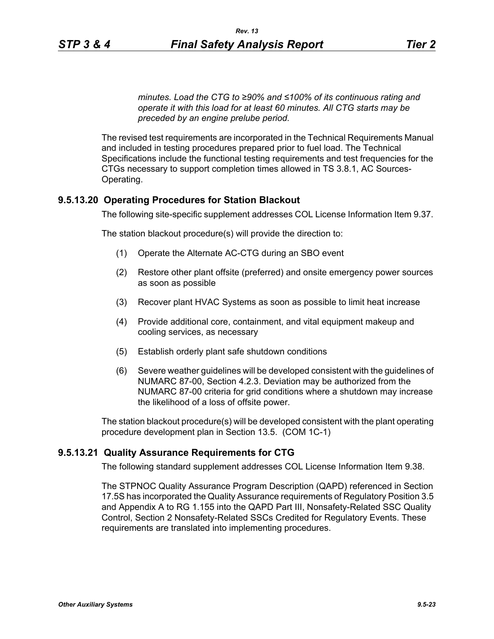*minutes. Load the CTG to ≥90% and ≤100% of its continuous rating and operate it with this load for at least 60 minutes. All CTG starts may be preceded by an engine prelube period.*

The revised test requirements are incorporated in the Technical Requirements Manual and included in testing procedures prepared prior to fuel load. The Technical Specifications include the functional testing requirements and test frequencies for the CTGs necessary to support completion times allowed in TS 3.8.1, AC Sources-Operating.

## **9.5.13.20 Operating Procedures for Station Blackout**

The following site-specific supplement addresses COL License Information Item 9.37.

The station blackout procedure(s) will provide the direction to:

- (1) Operate the Alternate AC-CTG during an SBO event
- (2) Restore other plant offsite (preferred) and onsite emergency power sources as soon as possible
- (3) Recover plant HVAC Systems as soon as possible to limit heat increase
- (4) Provide additional core, containment, and vital equipment makeup and cooling services, as necessary
- (5) Establish orderly plant safe shutdown conditions
- (6) Severe weather guidelines will be developed consistent with the guidelines of NUMARC 87-00, Section 4.2.3. Deviation may be authorized from the NUMARC 87-00 criteria for grid conditions where a shutdown may increase the likelihood of a loss of offsite power.

The station blackout procedure(s) will be developed consistent with the plant operating procedure development plan in Section 13.5. (COM 1C-1)

## **9.5.13.21 Quality Assurance Requirements for CTG**

The following standard supplement addresses COL License Information Item 9.38.

The STPNOC Quality Assurance Program Description (QAPD) referenced in Section 17.5S has incorporated the Quality Assurance requirements of Regulatory Position 3.5 and Appendix A to RG 1.155 into the QAPD Part III, Nonsafety-Related SSC Quality Control, Section 2 Nonsafety-Related SSCs Credited for Regulatory Events. These requirements are translated into implementing procedures.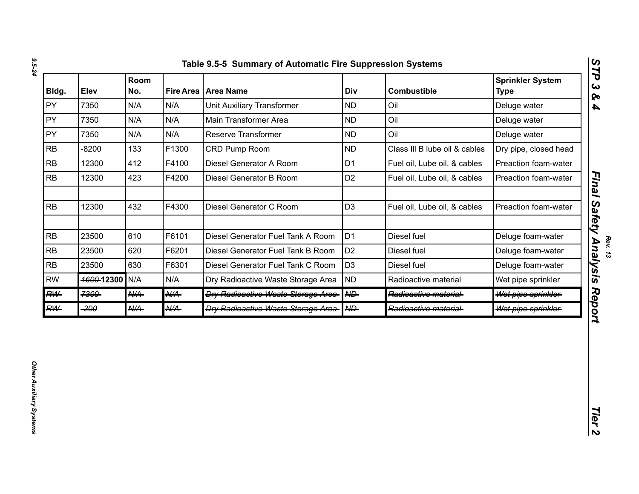| Bldg.     | Elev       | Room<br>No.     |                 | Fire Area   Area Name                      | Div            | <b>Combustible</b>            | <b>Sprinkler System</b><br><b>Type</b> |
|-----------|------------|-----------------|-----------------|--------------------------------------------|----------------|-------------------------------|----------------------------------------|
| PY        | 7350       | N/A             | N/A             | <b>Unit Auxiliary Transformer</b>          | <b>ND</b>      | Oil                           | Deluge water                           |
| PY        | 7350       | N/A             | N/A             | Main Transformer Area                      | <b>ND</b>      | Oil                           | Deluge water                           |
| <b>PY</b> | 7350       | N/A             | N/A             | Reserve Transformer                        | <b>ND</b>      | Oil                           | Deluge water                           |
| <b>RB</b> | $-8200$    | 133             | F1300           | CRD Pump Room                              | <b>ND</b>      | Class III B lube oil & cables | Dry pipe, closed head                  |
| <b>RB</b> | 12300      | 412             | F4100           | Diesel Generator A Room                    | D <sub>1</sub> | Fuel oil, Lube oil, & cables  | Preaction foam-water                   |
| RB        | 12300      | 423             | F4200           | Diesel Generator B Room                    | D <sub>2</sub> | Fuel oil, Lube oil, & cables  | Preaction foam-water                   |
| RB        | 12300      | 432             | F4300           | Diesel Generator C Room                    | D <sub>3</sub> | Fuel oil, Lube oil, & cables  | Preaction foam-water                   |
| <b>RB</b> | 23500      | 610             | F6101           | Diesel Generator Fuel Tank A Room          | D <sub>1</sub> | Diesel fuel                   | Deluge foam-water                      |
| <b>RB</b> | 23500      | 620             | F6201           | Diesel Generator Fuel Tank B Room          | D <sub>2</sub> | Diesel fuel                   | Deluge foam-water                      |
| RB        | 23500      | 630             | F6301           | Diesel Generator Fuel Tank C Room          | D <sub>3</sub> | Diesel fuel                   | Deluge foam-water                      |
| <b>RW</b> | 4600-12300 | N/A             | N/A             | Dry Radioactive Waste Storage Area         | <b>ND</b>      | Radioactive material          | Wet pipe sprinkler                     |
| RW        | 7300       | $A\mathcal{U}A$ | $A\mathcal{U}A$ | <b>Dry Radioactive Waste Storage Area-</b> | A              | Radioactive material-         | Wet pipe sprinkler                     |
| RW        | -200       | AKA-            | <b>N/A</b>      | <b>Dry Radioactive Waste Storage Area-</b> | A              | Radioactive material-         | Wet pipe sprinkler                     |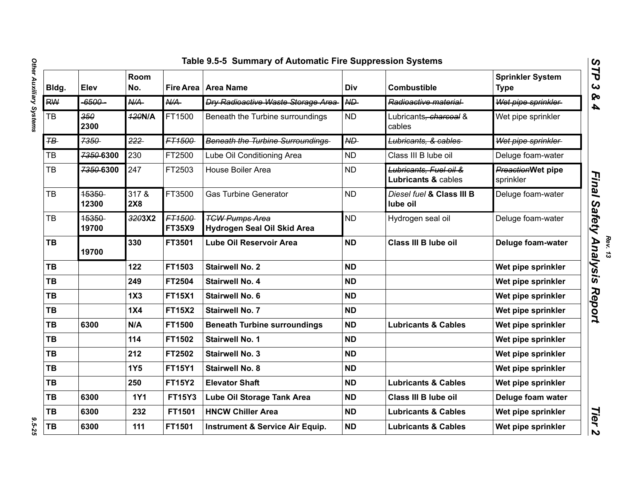| Elev           | Room<br>No.     |                         |                                                      | Div                   | <b>Combustible</b>                            | <b>Sprinkler System</b><br><b>Type</b>                    | STP<br>ယ               |
|----------------|-----------------|-------------------------|------------------------------------------------------|-----------------------|-----------------------------------------------|-----------------------------------------------------------|------------------------|
| -6500-         | $A\mathcal{U}A$ | N/A                     | <b>Dry Radioactive Waste Storage Area-</b>           | ND                    | Radioactive material                          | Wet pipe sprinkler                                        | ۵<br>4                 |
| 350<br>2300    | <b>420N/A</b>   | FT1500                  | Beneath the Turbine surroundings                     | <b>ND</b>             | Lubricants <del>, charcoal</del> &<br>cables  | Wet pipe sprinkler                                        |                        |
| 7350           | 222             | FT1500                  | <b>Beneath the Turbine Surroundings</b>              | ND                    | Lubricants, & cables                          | Wet pipe sprinkler                                        |                        |
| 7350-6300      | 230             | FT2500                  | Lube Oil Conditioning Area                           | <b>ND</b>             | Class III B lube oil                          | Deluge foam-water                                         |                        |
| 7350-6300      | 247             | FT2503                  | House Boiler Area                                    | <b>ND</b>             | Lubricants, Fuel oil &<br>Lubricants & cables | <b>PreactionWet pipe</b><br>sprinkler                     | <b>Final</b>           |
| 15350<br>12300 | 317 &<br>2X8    | FT3500                  | <b>Gas Turbine Generator</b>                         | <b>ND</b>             | Diesel fuel & Class III B<br>lube oil         | Deluge foam-water                                         |                        |
| 15350<br>19700 | 3203X2          | FT1500<br><b>FT35X9</b> | <b>TGW Pumps Area</b><br>Hydrogen Seal Oil Skid Area | <b>ND</b>             | Hydrogen seal oil                             | Deluge foam-water                                         |                        |
| 19700          | 330             | FT3501                  | Lube Oil Reservoir Area                              | <b>ND</b>             | Class III B lube oil                          | Deluge foam-water                                         | <b>Safety Analysis</b> |
|                | 122             | FT1503                  | <b>Stairwell No. 2</b>                               | <b>ND</b>             |                                               | Wet pipe sprinkler                                        |                        |
|                | 249             | FT2504                  | <b>Stairwell No. 4</b>                               | <b>ND</b>             |                                               | Wet pipe sprinkler                                        |                        |
|                | 1X3             | <b>FT15X1</b>           | <b>Stairwell No. 6</b>                               | <b>ND</b>             |                                               | Wet pipe sprinkler                                        | Report                 |
|                | <b>1X4</b>      | <b>FT15X2</b>           | <b>Stairwell No. 7</b>                               | <b>ND</b>             |                                               | Wet pipe sprinkler                                        |                        |
| 6300           | N/A             | FT1500                  | <b>Beneath Turbine surroundings</b>                  | <b>ND</b>             | <b>Lubricants &amp; Cables</b>                | Wet pipe sprinkler                                        |                        |
|                | 114             | FT1502                  | <b>Stairwell No. 1</b>                               | <b>ND</b>             |                                               | Wet pipe sprinkler                                        |                        |
|                | 212             | FT2502                  | <b>Stairwell No. 3</b>                               | <b>ND</b>             |                                               | Wet pipe sprinkler                                        |                        |
|                | <b>1Y5</b>      | <b>FT15Y1</b>           | <b>Stairwell No. 8</b>                               | <b>ND</b>             |                                               | Wet pipe sprinkler                                        |                        |
|                | 250             | <b>FT15Y2</b>           | <b>Elevator Shaft</b>                                | <b>ND</b>             | <b>Lubricants &amp; Cables</b>                | Wet pipe sprinkler                                        |                        |
| 6300           | <b>1Y1</b>      | <b>FT15Y3</b>           | Lube Oil Storage Tank Area                           | <b>ND</b>             | Class III B lube oil                          | Deluge foam water                                         |                        |
| 6300           | 232             | FT1501                  | <b>HNCW Chiller Area</b>                             | <b>ND</b>             | <b>Lubricants &amp; Cables</b>                | Wet pipe sprinkler                                        | Tier                   |
| 6300           | 111             | FT1501                  | Instrument & Service Air Equip.                      | <b>ND</b>             | <b>Lubricants &amp; Cables</b>                | Wet pipe sprinkler                                        | $\mathbf{v}$           |
|                |                 |                         |                                                      | Fire Area   Area Name |                                               | Table 9.5-5 Summary of Automatic Fire Suppression Systems |                        |

 $9.5 - 25$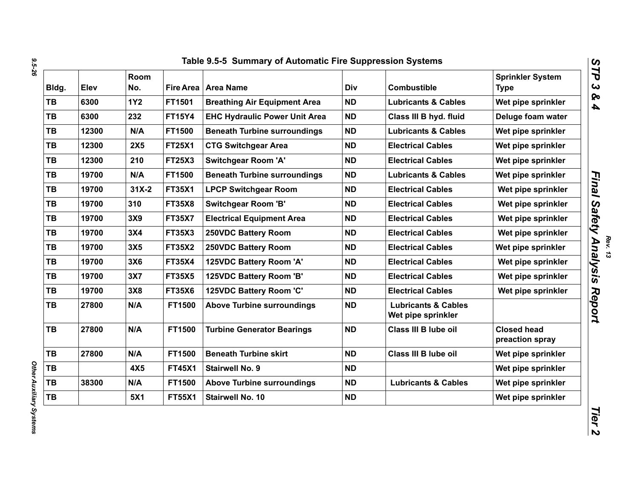| Bldg.     | Elev  | Room<br>No. | <b>Fire Area</b> | <b>Area Name</b>                     | Div       | <b>Combustible</b>                                   | <b>Sprinkler System</b><br><b>Type</b> |
|-----------|-------|-------------|------------------|--------------------------------------|-----------|------------------------------------------------------|----------------------------------------|
| <b>TB</b> | 6300  | <b>1Y2</b>  | FT1501           | <b>Breathing Air Equipment Area</b>  | <b>ND</b> | <b>Lubricants &amp; Cables</b>                       | Wet pipe sprinkler                     |
| TB        | 6300  | 232         | <b>FT15Y4</b>    | <b>EHC Hydraulic Power Unit Area</b> | <b>ND</b> | Class III B hyd. fluid                               | Deluge foam water                      |
| TB        | 12300 | N/A         | FT1500           | <b>Beneath Turbine surroundings</b>  | <b>ND</b> | <b>Lubricants &amp; Cables</b>                       | Wet pipe sprinkler                     |
| TB        | 12300 | 2X5         | <b>FT25X1</b>    | <b>CTG Switchgear Area</b>           | <b>ND</b> | <b>Electrical Cables</b>                             | Wet pipe sprinkler                     |
| TB        | 12300 | 210         | <b>FT25X3</b>    | <b>Switchgear Room 'A'</b>           | <b>ND</b> | <b>Electrical Cables</b>                             | Wet pipe sprinkler                     |
| TB        | 19700 | N/A         | FT1500           | <b>Beneath Turbine surroundings</b>  | <b>ND</b> | <b>Lubricants &amp; Cables</b>                       | Wet pipe sprinkler                     |
| <b>TB</b> | 19700 | $31X-2$     | <b>FT35X1</b>    | <b>LPCP Switchgear Room</b>          | <b>ND</b> | <b>Electrical Cables</b>                             | Wet pipe sprinkler                     |
| <b>TB</b> | 19700 | 310         | <b>FT35X8</b>    | <b>Switchgear Room 'B'</b>           | <b>ND</b> | <b>Electrical Cables</b>                             | Wet pipe sprinkler                     |
| <b>TB</b> | 19700 | 3X9         | <b>FT35X7</b>    | <b>Electrical Equipment Area</b>     | <b>ND</b> | <b>Electrical Cables</b>                             | Wet pipe sprinkler                     |
| <b>TB</b> | 19700 | 3X4         | <b>FT35X3</b>    | 250VDC Battery Room                  | <b>ND</b> | <b>Electrical Cables</b>                             | Wet pipe sprinkler                     |
| TB        | 19700 | 3X5         | <b>FT35X2</b>    | 250VDC Battery Room                  | <b>ND</b> | <b>Electrical Cables</b>                             | Wet pipe sprinkler                     |
| TB        | 19700 | 3X6         | <b>FT35X4</b>    | 125VDC Battery Room 'A'              | <b>ND</b> | <b>Electrical Cables</b>                             | Wet pipe sprinkler                     |
| TB        | 19700 | 3X7         | <b>FT35X5</b>    | 125VDC Battery Room 'B'              | <b>ND</b> | <b>Electrical Cables</b>                             | Wet pipe sprinkler                     |
| TB        | 19700 | 3X8         | <b>FT35X6</b>    | 125VDC Battery Room 'C'              | <b>ND</b> | <b>Electrical Cables</b>                             | Wet pipe sprinkler                     |
| TB        | 27800 | N/A         | FT1500           | <b>Above Turbine surroundings</b>    | <b>ND</b> | <b>Lubricants &amp; Cables</b><br>Wet pipe sprinkler |                                        |
| TB        | 27800 | N/A         | FT1500           | <b>Turbine Generator Bearings</b>    | <b>ND</b> | Class III B lube oil                                 | <b>Closed head</b><br>preaction spray  |
| TB        | 27800 | N/A         | FT1500           | <b>Beneath Turbine skirt</b>         | <b>ND</b> | Class III B lube oil                                 | Wet pipe sprinkler                     |
| TB        |       | 4X5         | <b>FT45X1</b>    | <b>Stairwell No. 9</b>               | <b>ND</b> |                                                      | Wet pipe sprinkler                     |
| TB        | 38300 | N/A         | FT1500           | <b>Above Turbine surroundings</b>    | <b>ND</b> | <b>Lubricants &amp; Cables</b>                       | Wet pipe sprinkler                     |
| TB        |       | 5X1         | <b>FT55X1</b>    | <b>Stairwell No. 10</b>              | <b>ND</b> |                                                      | Wet pipe sprinkler                     |

*9.5-26*

*Rev. 13*

Other Auxiliary Systems *Other Auxiliary Systems*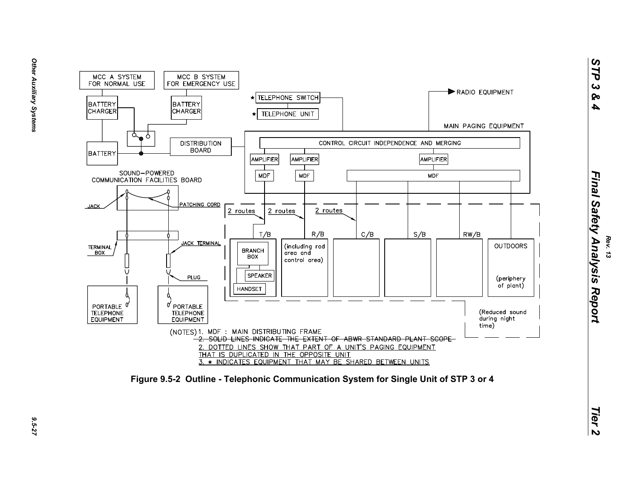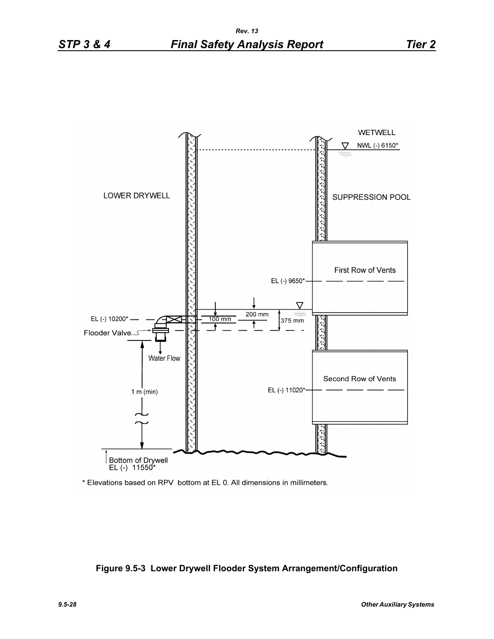

\* Elevations based on RPV bottom at EL 0. All dimensions in millimeters.

### **Figure 9.5-3 Lower Drywell Flooder System Arrangement/Configuration**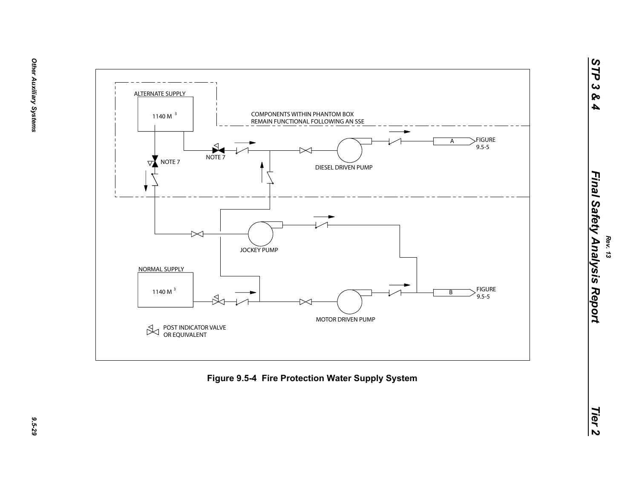